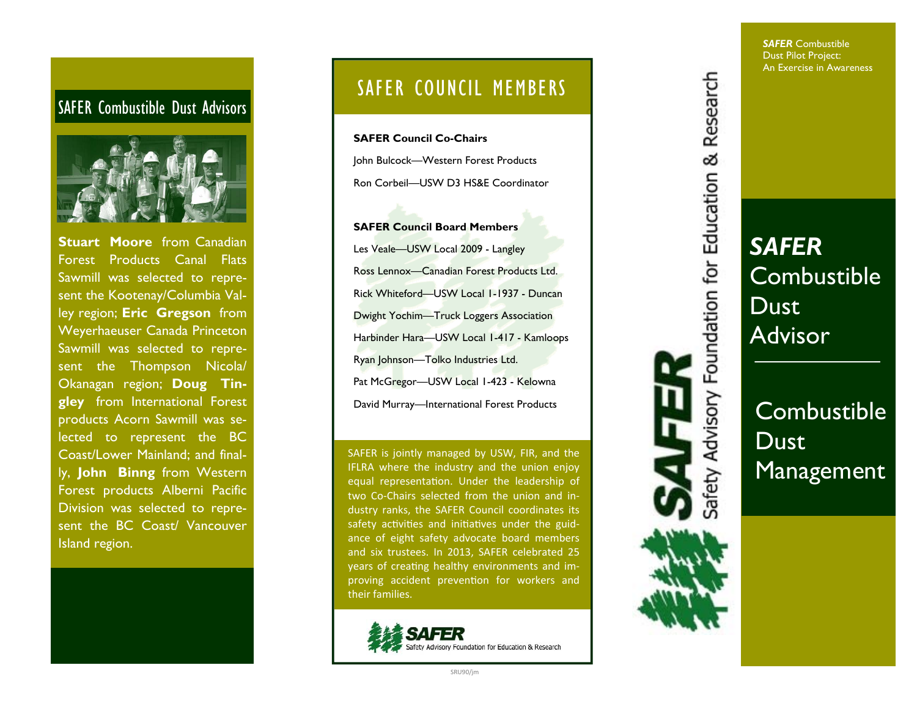#### SAFER Combustible Dust Advisors



**Stuart Moore** from Canadian Forest Products Canal Flats Sawmill was selected to represent the Kootenay/Columbia Valley region; **Eric Gregson** from Weyerhaeuser Canada Princeton Sawmill was selected to represent the Thompson Nicola/ Okanagan region; **Doug Tingley** from International Forest products Acorn Sawmill was selected to represent the BC Coast/Lower Mainland; and finally, **John Binng** from Western Forest products Alberni Pacific Division was selected to represent the BC Coast/ Vancouver Island region.

## SAFER COUNCIL MEMBERS

**SAFER Council Co-Chairs**John Bulcock—Western Forest Products Ron Corbeil—USW D3 HS&E Coordinator

**SAFER Council Board Members**Les Veale—USW Local 2009 - Langley Ross Lennox—Canadian Forest Products Ltd. Rick Whiteford—USW Local 1-1937 - Duncan Dwight Yochim—Truck Loggers Association Harbinder Hara—USW Local 1-417 - Kamloops Ryan Johnson—Tolko Industries Ltd. Pat McGregor-USW Local 1-423 - Kelowna David Murray—International Forest Products

SAFER is jointly managed by USW, FIR, and the IFLRA where the industry and the union enjoy equal representation. Under the leadership of two Co‐Chairs selected from the union and in‐ dustry ranks, the SAFER Council coordinates its safety activities and initiatives under the guidance of eight safety advocate board members and six trustees. In 2013, SAFER celebrated 25 years of creating healthy environments and improving accident prevention for workers and their families.



*SAFER* Combustible Dust Pilot Project: An Exercise in Awareness



afety Advisory Foundation for Education & Research

Combustible **Dust** Management